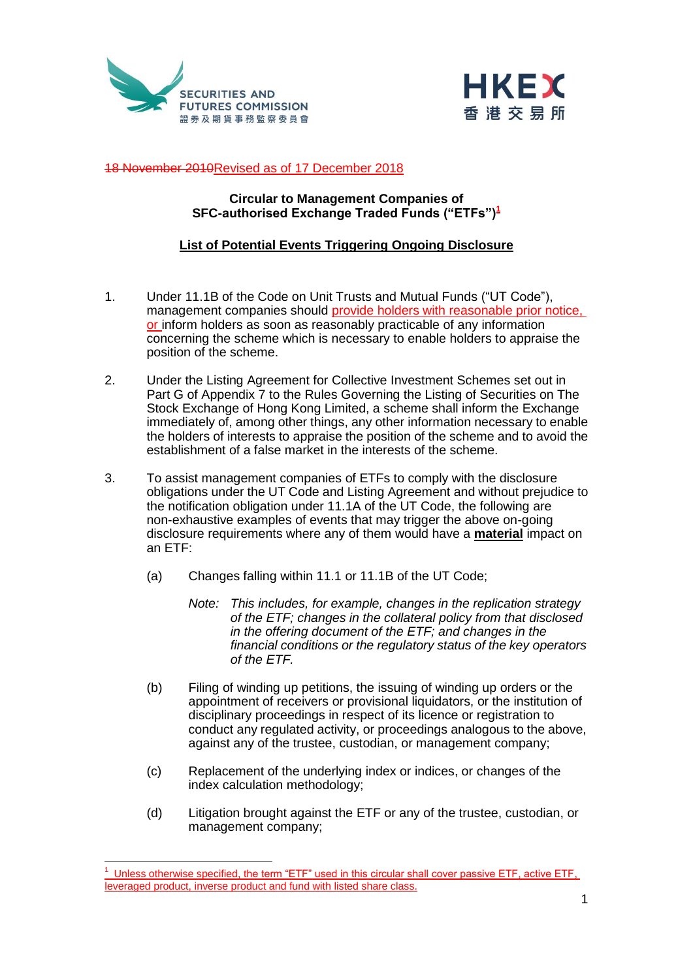



## 18 November 2010Revised as of 17 December 2018

## **Circular to Management Companies of SFC-authorised Exchange Traded Funds ("ETFs")<sup>1</sup>**

## **List of Potential Events Triggering Ongoing Disclosure**

- 1. Under 11.1B of the Code on Unit Trusts and Mutual Funds ("UT Code"), management companies should provide holders with reasonable prior notice, or inform holders as soon as reasonably practicable of any information concerning the scheme which is necessary to enable holders to appraise the position of the scheme.
- 2. Under the Listing Agreement for Collective Investment Schemes set out in Part G of Appendix 7 to the Rules Governing the Listing of Securities on The Stock Exchange of Hong Kong Limited, a scheme shall inform the Exchange immediately of, among other things, any other information necessary to enable the holders of interests to appraise the position of the scheme and to avoid the establishment of a false market in the interests of the scheme.
- 3. To assist management companies of ETFs to comply with the disclosure obligations under the UT Code and Listing Agreement and without prejudice to the notification obligation under 11.1A of the UT Code, the following are non-exhaustive examples of events that may trigger the above on-going disclosure requirements where any of them would have a **material** impact on an ETF:
	- (a) Changes falling within 11.1 or 11.1B of the UT Code;
		- *Note: This includes, for example, changes in the replication strategy of the ETF; changes in the collateral policy from that disclosed in the offering document of the ETF; and changes in the financial conditions or the regulatory status of the key operators of the ETF.*
	- (b) Filing of winding up petitions, the issuing of winding up orders or the appointment of receivers or provisional liquidators, or the institution of disciplinary proceedings in respect of its licence or registration to conduct any regulated activity, or proceedings analogous to the above, against any of the trustee, custodian, or management company;
	- (c) Replacement of the underlying index or indices, or changes of the index calculation methodology;
	- (d) Litigation brought against the ETF or any of the trustee, custodian, or management company;

 $\frac{1}{2}$ 

 $<sup>1</sup>$  Unless otherwise specified, the term "ETF" used in this circular shall cover passive ETF, active ETF,</sup> leveraged product, inverse product and fund with listed share class.